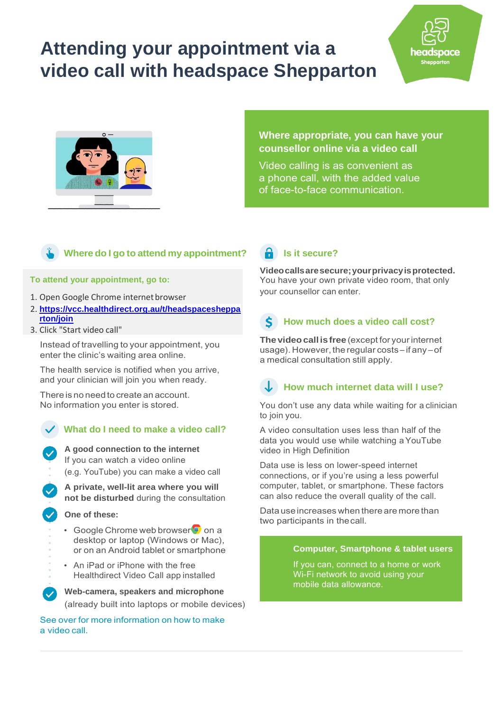# **Attending your appointment via a video call with headspace Shepparton**



### **Where appropriate, you can have your counsellor online via a video call**

pace

Video calling is as convenient as a phone call, with the added value of face-to-face communication.

### **Where do I go to attend my appointment?**

#### **To attend your appointment, go to:**

- 1. Open Google Chrome internet browser
- 2. **[https://vcc.healthdirect.org.au/t/headspacesheppa](https://vcc.healthdirect.org.au/t/headspaceshepparton/join) [rton/join](https://vcc.healthdirect.org.au/t/headspaceshepparton/join)**
- 3. Click "Start video call"

Instead of travelling to your appointment, you enter the clinic's waiting area online.

The health service is notified when you arrive, and your clinician will join you when ready.

There is no need to create an account. No information you enter is stored.

### **What do I need to make a video call?**

**A good connection to the internet** If you can watch a video online

(e.g. YouTube) you can make a video call

**A private, well-lit area where you will not be disturbed** during the consultation

#### **One of these:**

- Google Chrome web browser<sup>o</sup> on a desktop or laptop (Windows or Mac), or on an Android tablet or smartphone
- An iPad or iPhone with the free Healthdirect Video Call app installed

**Web-camera, speakers and microphone** (already built into laptops or mobile devices)

See over for more information on how to make a video call.

# **in** Is it secure?

**Videocallsaresecure;yourprivacyisprotected.**  You have your own private video room, that only your counsellor can enter.

# **How much does a video call cost?**

**The videocall is free** (except for yourinternet usage). However, the regular costs – if any – of a medical consultation still apply.

# **How much internet data will I use?**

You don't use any data while waiting for a clinician to join you.

A video consultation uses less than half of the data you would use while watching aYouTube video in High Definition

Data use is less on lower-speed internet connections, or if you're using a less powerful computer, tablet, or smartphone. These factors can also reduce the overall quality of the call.

Data use increases when there are more than two participants in thecall.

#### **Computer, Smartphone & tablet users**

If you can, connect to a home or work Wi-Fi network to avoid using your mobile data allowance.